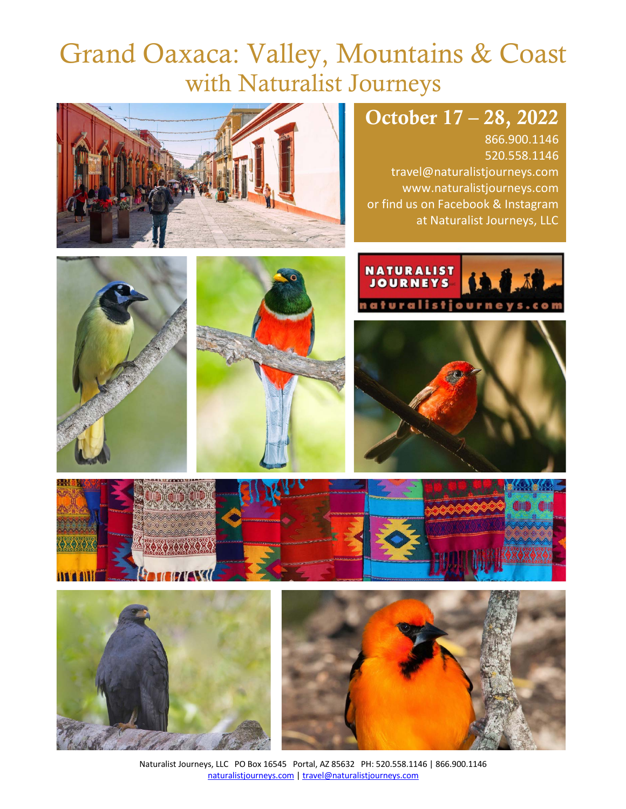# Grand Oaxaca: Valley, Mountains & Coast with Naturalist Journeys



# October 17 – 28, 2022

866.900.1146 520.558.1146 travel@naturalistjourneys.com www.naturalistjourneys.com or find us on Facebook & Instagram at Naturalist Journeys, LLC















Naturalist Journeys, LLC PO Box 16545 Portal, AZ 85632 PH: 520.558.1146 | 866.900.1146 naturalistjourneys.com | travel@naturalistjourneys.com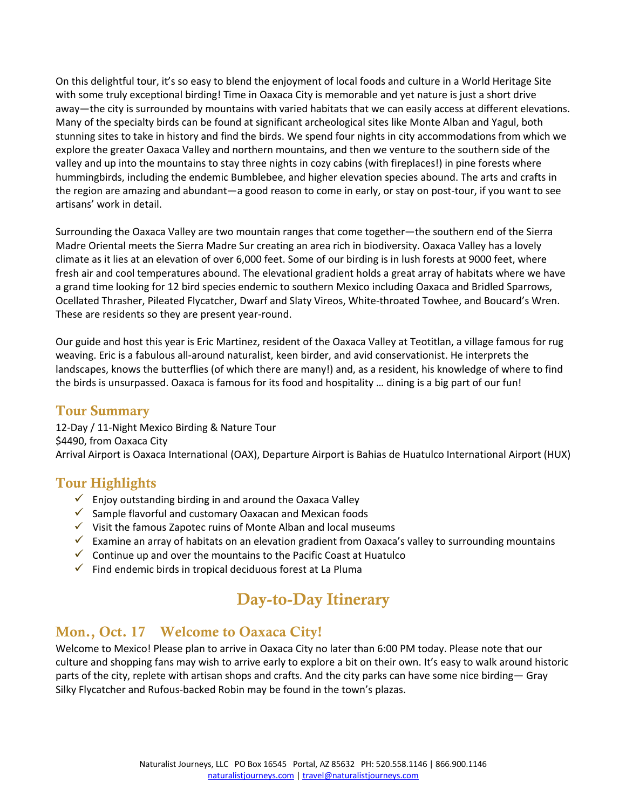On this delightful tour, it's so easy to blend the enjoyment of local foods and culture in a World Heritage Site with some truly exceptional birding! Time in Oaxaca City is memorable and yet nature is just a short drive away—the city is surrounded by mountains with varied habitats that we can easily access at different elevations. Many of the specialty birds can be found at significant archeological sites like Monte Alban and Yagul, both stunning sites to take in history and find the birds. We spend four nights in city accommodations from which we explore the greater Oaxaca Valley and northern mountains, and then we venture to the southern side of the valley and up into the mountains to stay three nights in cozy cabins (with fireplaces!) in pine forests where hummingbirds, including the endemic Bumblebee, and higher elevation species abound. The arts and crafts in the region are amazing and abundant—a good reason to come in early, or stay on post-tour, if you want to see artisans' work in detail.

Surrounding the Oaxaca Valley are two mountain ranges that come together—the southern end of the Sierra Madre Oriental meets the Sierra Madre Sur creating an area rich in biodiversity. Oaxaca Valley has a lovely climate as it lies at an elevation of over 6,000 feet. Some of our birding is in lush forests at 9000 feet, where fresh air and cool temperatures abound. The elevational gradient holds a great array of habitats where we have a grand time looking for 12 bird species endemic to southern Mexico including Oaxaca and Bridled Sparrows, Ocellated Thrasher, Pileated Flycatcher, Dwarf and Slaty Vireos, White-throated Towhee, and Boucard's Wren. These are residents so they are present year-round.

Our guide and host this year is Eric Martinez, resident of the Oaxaca Valley at Teotitlan, a village famous for rug weaving. Eric is a fabulous all-around naturalist, keen birder, and avid conservationist. He interprets the landscapes, knows the butterflies (of which there are many!) and, as a resident, his knowledge of where to find the birds is unsurpassed. Oaxaca is famous for its food and hospitality … dining is a big part of our fun!

#### Tour Summary

12-Day / 11-Night Mexico Birding & Nature Tour \$4490, from Oaxaca City Arrival Airport is Oaxaca International (OAX), Departure Airport is Bahias de Huatulco International Airport (HUX)

#### Tour Highlights

- $\checkmark$  Enjoy outstanding birding in and around the Oaxaca Valley
- $\checkmark$  Sample flavorful and customary Oaxacan and Mexican foods
- $\checkmark$  Visit the famous Zapotec ruins of Monte Alban and local museums
- $\checkmark$  Examine an array of habitats on an elevation gradient from Oaxaca's valley to surrounding mountains
- $\checkmark$  Continue up and over the mountains to the Pacific Coast at Huatulco
- $\checkmark$  Find endemic birds in tropical deciduous forest at La Pluma

# Day-to-Day Itinerary

#### Mon., Oct. 17 Welcome to Oaxaca City!

Welcome to Mexico! Please plan to arrive in Oaxaca City no later than 6:00 PM today. Please note that our culture and shopping fans may wish to arrive early to explore a bit on their own. It's easy to walk around historic parts of the city, replete with artisan shops and crafts. And the city parks can have some nice birding— Gray Silky Flycatcher and Rufous-backed Robin may be found in the town's plazas.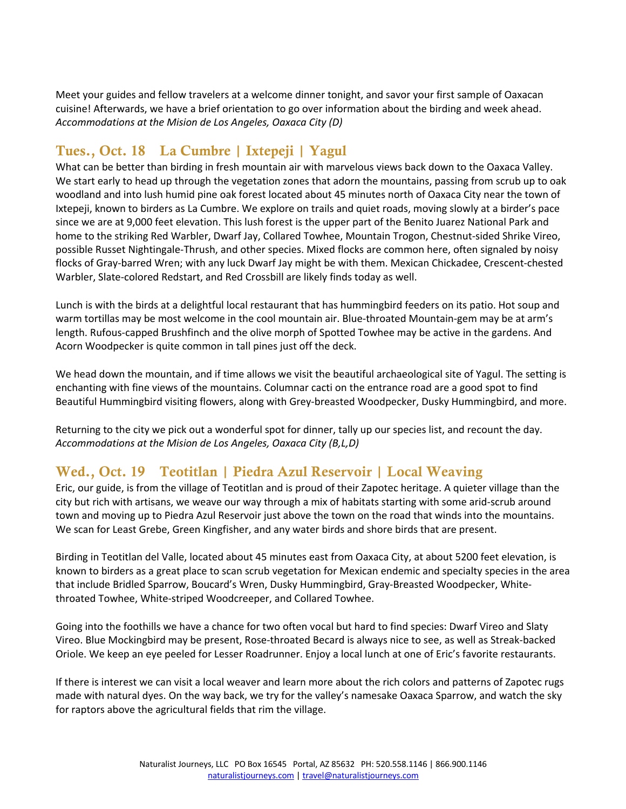Meet your guides and fellow travelers at a welcome dinner tonight, and savor your first sample of Oaxacan cuisine! Afterwards, we have a brief orientation to go over information about the birding and week ahead. *Accommodations at the Mision de Los Angeles, Oaxaca City (D)* 

# Tues., Oct. 18 La Cumbre | Ixtepeji | Yagul

What can be better than birding in fresh mountain air with marvelous views back down to the Oaxaca Valley. We start early to head up through the vegetation zones that adorn the mountains, passing from scrub up to oak woodland and into lush humid pine oak forest located about 45 minutes north of Oaxaca City near the town of Ixtepeji, known to birders as La Cumbre. We explore on trails and quiet roads, moving slowly at a birder's pace since we are at 9,000 feet elevation. This lush forest is the upper part of the Benito Juarez National Park and home to the striking Red Warbler, Dwarf Jay, Collared Towhee, Mountain Trogon, Chestnut-sided Shrike Vireo, possible Russet Nightingale-Thrush, and other species. Mixed flocks are common here, often signaled by noisy flocks of Gray-barred Wren; with any luck Dwarf Jay might be with them. Mexican Chickadee, Crescent-chested Warbler, Slate-colored Redstart, and Red Crossbill are likely finds today as well.

Lunch is with the birds at a delightful local restaurant that has hummingbird feeders on its patio. Hot soup and warm tortillas may be most welcome in the cool mountain air. Blue-throated Mountain-gem may be at arm's length. Rufous-capped Brushfinch and the olive morph of Spotted Towhee may be active in the gardens. And Acorn Woodpecker is quite common in tall pines just off the deck.

We head down the mountain, and if time allows we visit the beautiful archaeological site of Yagul. The setting is enchanting with fine views of the mountains. Columnar cacti on the entrance road are a good spot to find Beautiful Hummingbird visiting flowers, along with Grey-breasted Woodpecker, Dusky Hummingbird, and more.

Returning to the city we pick out a wonderful spot for dinner, tally up our species list, and recount the day. *Accommodations at the Mision de Los Angeles, Oaxaca City (B,L,D)*

# Wed., Oct. 19 Teotitlan | Piedra Azul Reservoir | Local Weaving

Eric, our guide, is from the village of Teotitlan and is proud of their Zapotec heritage. A quieter village than the city but rich with artisans, we weave our way through a mix of habitats starting with some arid-scrub around town and moving up to Piedra Azul Reservoir just above the town on the road that winds into the mountains. We scan for Least Grebe, Green Kingfisher, and any water birds and shore birds that are present.

Birding in Teotitlan del Valle, located about 45 minutes east from Oaxaca City, at about 5200 feet elevation, is known to birders as a great place to scan scrub vegetation for Mexican endemic and specialty species in the area that include Bridled Sparrow, Boucard's Wren, Dusky Hummingbird, Gray-Breasted Woodpecker, Whitethroated Towhee, White-striped Woodcreeper, and Collared Towhee.

Going into the foothills we have a chance for two often vocal but hard to find species: Dwarf Vireo and Slaty Vireo. Blue Mockingbird may be present, Rose-throated Becard is always nice to see, as well as Streak-backed Oriole. We keep an eye peeled for Lesser Roadrunner. Enjoy a local lunch at one of Eric's favorite restaurants.

If there is interest we can visit a local weaver and learn more about the rich colors and patterns of Zapotec rugs made with natural dyes. On the way back, we try for the valley's namesake Oaxaca Sparrow, and watch the sky for raptors above the agricultural fields that rim the village.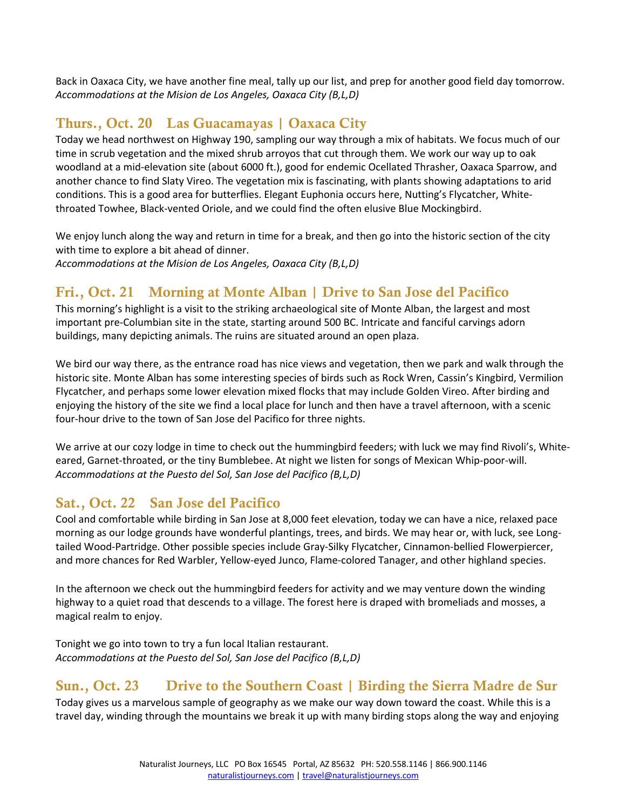Back in Oaxaca City, we have another fine meal, tally up our list, and prep for another good field day tomorrow. *Accommodations at the Mision de Los Angeles, Oaxaca City (B,L,D)*

## Thurs., Oct. 20 Las Guacamayas | Oaxaca City

Today we head northwest on Highway 190, sampling our way through a mix of habitats. We focus much of our time in scrub vegetation and the mixed shrub arroyos that cut through them. We work our way up to oak woodland at a mid-elevation site (about 6000 ft.), good for endemic Ocellated Thrasher, Oaxaca Sparrow, and another chance to find Slaty Vireo. The vegetation mix is fascinating, with plants showing adaptations to arid conditions. This is a good area for butterflies. Elegant Euphonia occurs here, Nutting's Flycatcher, Whitethroated Towhee, Black-vented Oriole, and we could find the often elusive Blue Mockingbird.

We enjoy lunch along the way and return in time for a break, and then go into the historic section of the city with time to explore a bit ahead of dinner. *Accommodations at the Mision de Los Angeles, Oaxaca City (B,L,D)* 

# Fri., Oct. 21 Morning at Monte Alban | Drive to San Jose del Pacifico

This morning's highlight is a visit to the striking archaeological site of Monte Alban, the largest and most important pre-Columbian site in the state, starting around 500 BC. Intricate and fanciful carvings adorn buildings, many depicting animals. The ruins are situated around an open plaza.

We bird our way there, as the entrance road has nice views and vegetation, then we park and walk through the historic site. Monte Alban has some interesting species of birds such as Rock Wren, Cassin's Kingbird, Vermilion Flycatcher, and perhaps some lower elevation mixed flocks that may include Golden Vireo. After birding and enjoying the history of the site we find a local place for lunch and then have a travel afternoon, with a scenic four-hour drive to the town of San Jose del Pacifico for three nights.

We arrive at our cozy lodge in time to check out the hummingbird feeders; with luck we may find Rivoli's, Whiteeared, Garnet-throated, or the tiny Bumblebee. At night we listen for songs of Mexican Whip-poor-will. *Accommodations at the Puesto del Sol, San Jose del Pacifico (B,L,D)*

# Sat., Oct. 22 San Jose del Pacifico

Cool and comfortable while birding in San Jose at 8,000 feet elevation, today we can have a nice, relaxed pace morning as our lodge grounds have wonderful plantings, trees, and birds. We may hear or, with luck, see Longtailed Wood-Partridge. Other possible species include Gray-Silky Flycatcher, Cinnamon-bellied Flowerpiercer, and more chances for Red Warbler, Yellow-eyed Junco, Flame-colored Tanager, and other highland species.

In the afternoon we check out the hummingbird feeders for activity and we may venture down the winding highway to a quiet road that descends to a village. The forest here is draped with bromeliads and mosses, a magical realm to enjoy.

Tonight we go into town to try a fun local Italian restaurant. *Accommodations at the Puesto del Sol, San Jose del Pacifico (B,L,D)*

# Sun., Oct. 23 Drive to the Southern Coast | Birding the Sierra Madre de Sur

Today gives us a marvelous sample of geography as we make our way down toward the coast. While this is a travel day, winding through the mountains we break it up with many birding stops along the way and enjoying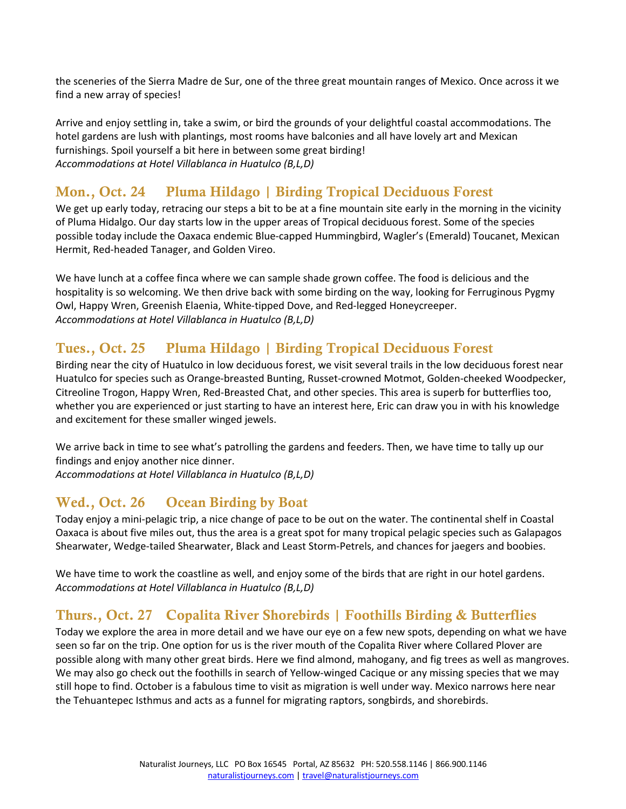the sceneries of the Sierra Madre de Sur, one of the three great mountain ranges of Mexico. Once across it we find a new array of species!

Arrive and enjoy settling in, take a swim, or bird the grounds of your delightful coastal accommodations. The hotel gardens are lush with plantings, most rooms have balconies and all have lovely art and Mexican furnishings. Spoil yourself a bit here in between some great birding! *Accommodations at Hotel Villablanca in Huatulco (B,L,D)* 

# Mon., Oct. 24 Pluma Hildago | Birding Tropical Deciduous Forest

We get up early today, retracing our steps a bit to be at a fine mountain site early in the morning in the vicinity of Pluma Hidalgo. Our day starts low in the upper areas of Tropical deciduous forest. Some of the species possible today include the Oaxaca endemic Blue-capped Hummingbird, Wagler's (Emerald) Toucanet, Mexican Hermit, Red-headed Tanager, and Golden Vireo.

We have lunch at a coffee finca where we can sample shade grown coffee. The food is delicious and the hospitality is so welcoming. We then drive back with some birding on the way, looking for Ferruginous Pygmy Owl, Happy Wren, Greenish Elaenia, White-tipped Dove, and Red-legged Honeycreeper. *Accommodations at Hotel Villablanca in Huatulco (B,L,D)* 

## Tues., Oct. 25 Pluma Hildago | Birding Tropical Deciduous Forest

Birding near the city of Huatulco in low deciduous forest, we visit several trails in the low deciduous forest near Huatulco for species such as Orange-breasted Bunting, Russet-crowned Motmot, Golden-cheeked Woodpecker, Citreoline Trogon, Happy Wren, Red-Breasted Chat, and other species. This area is superb for butterflies too, whether you are experienced or just starting to have an interest here, Eric can draw you in with his knowledge and excitement for these smaller winged jewels.

We arrive back in time to see what's patrolling the gardens and feeders. Then, we have time to tally up our findings and enjoy another nice dinner.

*Accommodations at Hotel Villablanca in Huatulco (B,L,D)* 

#### Wed., Oct. 26 Ocean Birding by Boat

Today enjoy a mini-pelagic trip, a nice change of pace to be out on the water. The continental shelf in Coastal Oaxaca is about five miles out, thus the area is a great spot for many tropical pelagic species such as Galapagos Shearwater, Wedge-tailed Shearwater, Black and Least Storm-Petrels, and chances for jaegers and boobies.

We have time to work the coastline as well, and enjoy some of the birds that are right in our hotel gardens. *Accommodations at Hotel Villablanca in Huatulco (B,L,D)* 

# Thurs., Oct. 27 Copalita River Shorebirds | Foothills Birding & Butterflies

Today we explore the area in more detail and we have our eye on a few new spots, depending on what we have seen so far on the trip. One option for us is the river mouth of the Copalita River where Collared Plover are possible along with many other great birds. Here we find almond, mahogany, and fig trees as well as mangroves. We may also go check out the foothills in search of Yellow-winged Cacique or any missing species that we may still hope to find. October is a fabulous time to visit as migration is well under way. Mexico narrows here near the Tehuantepec Isthmus and acts as a funnel for migrating raptors, songbirds, and shorebirds.